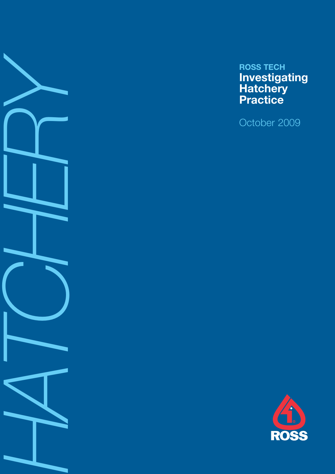

# **ROSS TECH Investigating Hatchery Practice**

October 2009

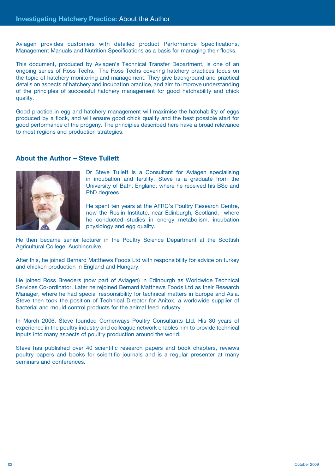Aviagen provides customers with detailed product Performance Specifications, Management Manuals and Nutrition Specifications as a basis for managing their flocks.

This document, produced by Aviagen's Technical Transfer Department, is one of an ongoing series of Ross Techs. The Ross Techs covering hatchery practices focus on the topic of hatchery monitoring and management. They give background and practical details on aspects of hatchery and incubation practice, and aim to improve understanding of the principles of successful hatchery management for good hatchability and chick quality.

Good practice in egg and hatchery management will maximise the hatchability of eggs produced by a flock, and will ensure good chick quality and the best possible start for good performance of the progeny. The principles described here have a broad relevance to most regions and production strategies.

#### **About the Author – Steve Tullett**



Dr Steve Tullett is a Consultant for Aviagen specialising in incubation and fertility. Steve is a graduate from the University of Bath, England, where he received his BSc and PhD degrees.

He spent ten years at the AFRC's Poultry Research Centre, now the Roslin Institute, near Edinburgh, Scotland, where he conducted studies in energy metabolism, incubation physiology and egg quality.

He then became senior lecturer in the Poultry Science Department at the Scottish Agricultural College, Auchincruive.

After this, he joined Bernard Matthews Foods Ltd with responsibility for advice on turkey and chicken production in England and Hungary.

He joined Ross Breeders (now part of Aviagen) in Edinburgh as Worldwide Technical Services Co-ordinator. Later he rejoined Bernard Matthews Foods Ltd as their Research Manager, where he had special responsibility for technical matters in Europe and Asia. Steve then took the position of Technical Director for Anitox, a worldwide supplier of bacterial and mould control products for the animal feed industry.

In March 2006, Steve founded Cornerways Poultry Consultants Ltd. His 30 years of experience in the poultry industry and colleague network enables him to provide technical inputs into many aspects of poultry production around the world.

Steve has published over 40 scientific research papers and book chapters, reviews poultry papers and books for scientific journals and is a regular presenter at many seminars and conferences.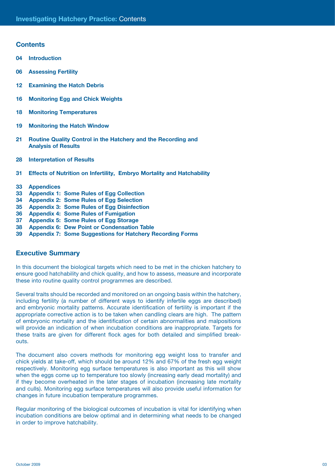#### **Contents**

- **04 Introduction**
- **06 Assessing Fertility**
- **12 Examining the Hatch Debris**
- **16 Monitoring Egg and Chick Weights**
- **18 Monitoring Temperatures**
- **19 Monitoring the Hatch Window**
- **21 Routine Quality Control in the Hatchery and the Recording and Analysis of Results**
- **28 Interpretation of Results**
- **31 Effects of Nutrition on Infertility, Embryo Mortality and Hatchability**
- **33 Appendices**
- **33 Appendix 1: Some Rules of Egg Collection**
- **34 Appendix 2: Some Rules of Egg Selection**
- **35 Appendix 3: Some Rules of Egg Disinfection**
- **36 Appendix 4: Some Rules of Fumigation**
- **37 Appendix 5: Some Rules of Egg Storage**
- **38 Appendix 6: Dew Point or Condensation Table**
- **39 Appendix 7: Some Suggestions for Hatchery Recording Forms**

### **Executive Summary**

In this document the biological targets which need to be met in the chicken hatchery to ensure good hatchability and chick quality, and how to assess, measure and incorporate these into routine quality control programmes are described.

Several traits should be recorded and monitored on an ongoing basis within the hatchery, including fertility (a number of different ways to identify infertile eggs are described) and embryonic mortality patterns. Accurate identification of fertility is important if the appropriate corrective action is to be taken when candling clears are high. The pattern of embryonic mortality and the identification of certain abnormalities and malpositions will provide an indication of when incubation conditions are inappropriate. Targets for these traits are given for different flock ages for both detailed and simplified breakouts.

The document also covers methods for monitoring egg weight loss to transfer and chick yields at take-off, which should be around 12% and 67% of the fresh egg weight respectively. Monitoring egg surface temperatures is also important as this will show when the eggs come up to temperature too slowly (increasing early dead mortality) and if they become overheated in the later stages of incubation (increasing late mortality and culls). Monitoring egg surface temperatures will also provide useful information for changes in future incubation temperature programmes.

Regular monitoring of the biological outcomes of incubation is vital for identifying when incubation conditions are below optimal and in determining what needs to be changed in order to improve hatchability.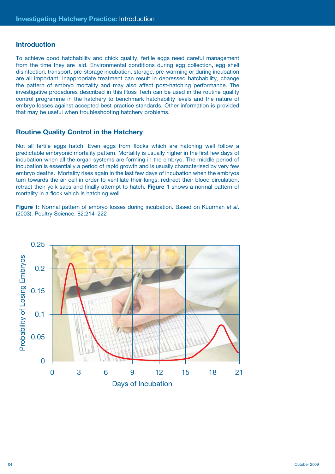#### **Introduction**

To achieve good hatchability and chick quality, fertile eggs need careful management from the time they are laid. Environmental conditions during egg collection, egg shell disinfection, transport, pre-storage incubation, storage, pre-warming or during incubation are all important. Inappropriate treatment can result in depressed hatchability, change the pattern of embryo mortality and may also affect post-hatching performance. The investigative procedures described in this Ross Tech can be used in the routine quality control programme in the hatchery to benchmark hatchability levels and the nature of embryo losses against accepted best practice standards. Other information is provided that may be useful when troubleshooting hatchery problems.

#### **Routine Quality Control in the Hatchery**

Not all fertile eggs hatch. Even eggs from flocks which are hatching well follow a predictable embryonic mortality pattern. Mortality is usually higher in the first few days of incubation when all the organ systems are forming in the embryo. The middle period of incubation is essentially a period of rapid growth and is usually characterised by very few embryo deaths. Mortality rises again in the last few days of incubation when the embryos turn towards the air cell in order to ventilate their lungs, redirect their blood circulation, retract their yolk sacs and finally attempt to hatch. **Figure 1** shows a normal pattern of mortality in a flock which is hatching well.

**Figure 1:** Normal pattern of embryo losses during incubation. Based on Kuurman *et al*. (2003). Poultry Science, 82:214–222

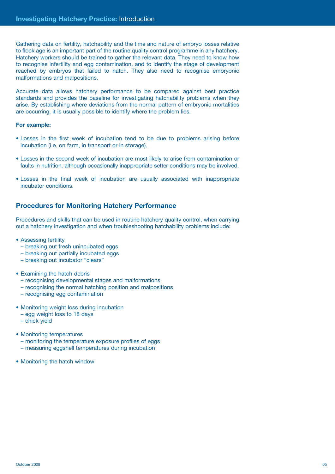Gathering data on fertility, hatchability and the time and nature of embryo losses relative to flock age is an important part of the routine quality control programme in any hatchery. Hatchery workers should be trained to gather the relevant data. They need to know how to recognise infertility and egg contamination, and to identify the stage of development reached by embryos that failed to hatch. They also need to recognise embryonic malformations and malpositions.

Accurate data allows hatchery performance to be compared against best practice standards and provides the baseline for investigating hatchability problems when they arise. By establishing where deviations from the normal pattern of embryonic mortalities are occurring, it is usually possible to identify where the problem lies.

#### **For example:**

- Losses in the first week of incubation tend to be due to problems arising before incubation (i.e. on farm, in transport or in storage).
- Losses in the second week of incubation are most likely to arise from contamination or faults in nutrition, although occasionally inappropriate setter conditions may be involved.
- Losses in the final week of incubation are usually associated with inappropriate incubator conditions.

#### **Procedures for Monitoring Hatchery Performance**

Procedures and skills that can be used in routine hatchery quality control, when carrying out a hatchery investigation and when troubleshooting hatchability problems include:

- Assessing fertility
	- breaking out fresh unincubated eggs
	- breaking out partially incubated eggs
	- breaking out incubator "clears"

#### • Examining the hatch debris

- recognising developmental stages and malformations
- recognising the normal hatching position and malpositions
- recognising egg contamination
- Monitoring weight loss during incubation
	- egg weight loss to 18 days
	- chick yield
- Monitoring temperatures
	- monitoring the temperature exposure profiles of eggs
	- measuring eggshell temperatures during incubation
- Monitoring the hatch window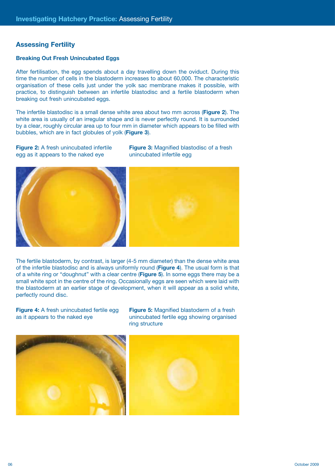## **Assessing Fertility**

#### **Breaking Out Fresh Unincubated Eggs**

After fertilisation, the egg spends about a day travelling down the oviduct. During this time the number of cells in the blastoderm increases to about 60,000. The characteristic organisation of these cells just under the yolk sac membrane makes it possible, with practice, to distinguish between an infertile blastodisc and a fertile blastoderm when breaking out fresh unincubated eggs.

The infertile blastodisc is a small dense white area about two mm across (**Figure 2**). The white area is usually of an irregular shape and is never perfectly round. It is surrounded by a clear, roughly circular area up to four mm in diameter which appears to be filled with bubbles, which are in fact globules of yolk (**Figure 3**).

**Figure 2:** A fresh unincubated infertile egg as it appears to the naked eye

**Figure 3:** Magnified blastodisc of a fresh unincubated infertile egg



The fertile blastoderm, by contrast, is larger (4-5 mm diameter) than the dense white area of the infertile blastodisc and is always uniformly round (**Figure 4**). The usual form is that of a white ring or "doughnut" with a clear centre (**Figure 5**). In some eggs there may be a small white spot in the centre of the ring. Occasionally eggs are seen which were laid with the blastoderm at an earlier stage of development, when it will appear as a solid white, perfectly round disc.

**Figure 4:** A fresh unincubated fertile egg as it appears to the naked eye

**Figure 5:** Magnified blastoderm of a fresh unincubated fertile egg showing organised ring structure

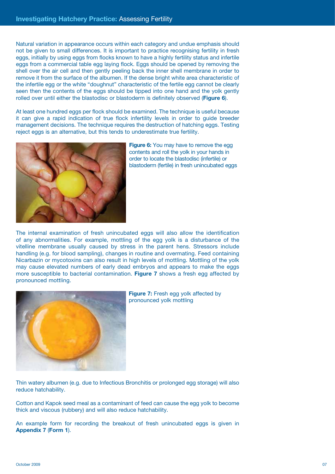Natural variation in appearance occurs within each category and undue emphasis should not be given to small differences. It is important to practice recognising fertility in fresh eggs, initially by using eggs from flocks known to have a highly fertility status and infertile eggs from a commercial table egg laying flock. Eggs should be opened by removing the shell over the air cell and then gently peeling back the inner shell membrane in order to remove it from the surface of the albumen. If the dense bright white area characteristic of the infertile egg or the white "doughnut" characteristic of the fertile egg cannot be clearly seen then the contents of the eggs should be tipped into one hand and the yolk gently rolled over until either the blastodisc or blastoderm is definitely observed (**Figure 6**).

At least one hundred eggs per flock should be examined. The technique is useful because it can give a rapid indication of true flock infertility levels in order to guide breeder management decisions. The technique requires the destruction of hatching eggs. Testing reject eggs is an alternative, but this tends to underestimate true fertility.



**Figure 6:** You may have to remove the egg contents and roll the yolk in your hands in order to locate the blastodisc (infertile) or blastoderm (fertile) in fresh unincubated eggs

The internal examination of fresh unincubated eggs will also allow the identification of any abnormalities. For example, mottling of the egg yolk is a disturbance of the vitelline membrane usually caused by stress in the parent hens. Stressors include handling (e.g. for blood sampling), changes in routine and overmating. Feed containing Nicarbazin or mycotoxins can also result in high levels of mottling. Mottling of the yolk may cause elevated numbers of early dead embryos and appears to make the eggs more susceptible to bacterial contamination. **Figure 7** shows a fresh egg affected by pronounced mottling.



**Figure 7:** Fresh egg yolk affected by pronounced yolk mottling

Thin watery albumen (e.g. due to Infectious Bronchitis or prolonged egg storage) will also reduce hatchability.

Cotton and Kapok seed meal as a contaminant of feed can cause the egg yolk to become thick and viscous (rubbery) and will also reduce hatchability.

An example form for recording the breakout of fresh unincubated eggs is given in **Appendix 7** (**Form 1**).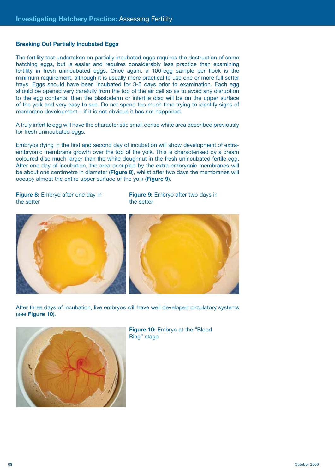#### **Breaking Out Partially Incubated Eggs**

The fertility test undertaken on partially incubated eggs requires the destruction of some hatching eggs, but is easier and requires considerably less practice than examining fertility in fresh unincubated eggs. Once again, a 100-egg sample per flock is the minimum requirement, although it is usually more practical to use one or more full setter trays. Eggs should have been incubated for 3-5 days prior to examination. Each egg should be opened very carefully from the top of the air cell so as to avoid any disruption to the egg contents, then the blastoderm or infertile disc will be on the upper surface of the yolk and very easy to see. Do not spend too much time trying to identify signs of membrane development – if it is not obvious it has not happened.

A truly infertile egg will have the characteristic small dense white area described previously for fresh unincubated eggs.

Embryos dying in the first and second day of incubation will show development of extraembryonic membrane growth over the top of the yolk. This is characterised by a cream coloured disc much larger than the white doughnut in the fresh unincubated fertile egg. After one day of incubation, the area occupied by the extra-embryonic membranes will be about one centimetre in diameter (**Figure 8**), whilst after two days the membranes will occupy almost the entire upper surface of the yolk (**Figure 9**).

**Figure 8:** Embryo after one day in the setter

**Figure 9:** Embryo after two days in the setter



After three days of incubation, live embryos will have well developed circulatory systems (see **Figure 10**).



**Figure 10:** Embryo at the "Blood Ring" stage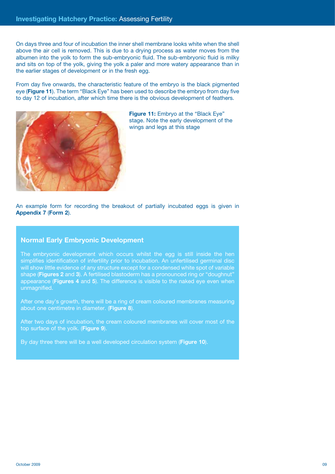On days three and four of incubation the inner shell membrane looks white when the shell above the air cell is removed. This is due to a drying process as water moves from the albumen into the yolk to form the sub-embryonic fluid. The sub-embryonic fluid is milky and sits on top of the yolk, giving the yolk a paler and more watery appearance than in the earlier stages of development or in the fresh egg.

From day five onwards, the characteristic feature of the embryo is the black pigmented eye (**Figure 11**). The term "Black Eye" has been used to describe the embryo from day five to day 12 of incubation, after which time there is the obvious development of feathers.



**Figure 11:** Embryo at the "Black Eye" stage. Note the early development of the wings and legs at this stage

An example form for recording the breakout of partially incubated eggs is given in **Appendix 7** (**Form 2**).

#### **Normal Early Embryonic Development**

The embryonic development which occurs whilst the egg is still inside the hen simplifies identification of infertility prior to incubation. An unfertilised germinal disc will show little evidence of any structure except for a condensed white spot of variable shape (**Figures 2** and **3**). A fertilised blastoderm has a pronounced ring or "doughnut" appearance (**Figures 4** and **5**). The difference is visible to the naked eye even when unmagnified.

After one day's growth, there will be a ring of cream coloured membranes measuring about one centimetre in diameter. (**Figure 8**).

After two days of incubation, the cream coloured membranes will cover most of the top surface of the yolk. (**Figure 9**).

By day three there will be a well developed circulation system (**Figure 10**).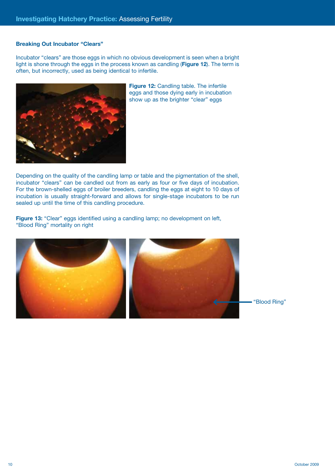#### **Breaking Out Incubator "Clears"**

Incubator "clears" are those eggs in which no obvious development is seen when a bright light is shone through the eggs in the process known as candling (**Figure 12**). The term is often, but incorrectly, used as being identical to infertile.



**Figure 12:** Candling table. The infertile eggs and those dying early in incubation show up as the brighter "clear" eggs

Depending on the quality of the candling lamp or table and the pigmentation of the shell, incubator "clears" can be candled out from as early as four or five days of incubation. For the brown-shelled eggs of broiler breeders, candling the eggs at eight to 10 days of incubation is usually straight-forward and allows for single-stage incubators to be run sealed up until the time of this candling procedure.

**Figure 13:** "Clear" eggs identified using a candling lamp; no development on left, "Blood Ring" mortality on right

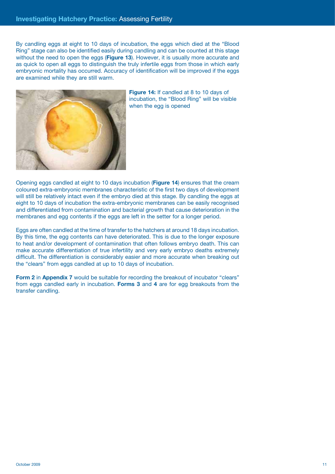By candling eggs at eight to 10 days of incubation, the eggs which died at the "Blood Ring" stage can also be identified easily during candling and can be counted at this stage without the need to open the eggs (**Figure 13**). However, it is usually more accurate and as quick to open all eggs to distinguish the truly infertile eggs from those in which early embryonic mortality has occurred. Accuracy of identification will be improved if the eggs are examined while they are still warm.



**Figure 14:** If candled at 8 to 10 days of incubation, the "Blood Ring" will be visible when the egg is opened

Opening eggs candled at eight to 10 days incubation (**Figure 14**) ensures that the cream coloured extra-embryonic membranes characteristic of the first two days of development will still be relatively intact even if the embryo died at this stage. By candling the eggs at eight to 10 days of incubation the extra-embryonic membranes can be easily recognised and differentiated from contamination and bacterial growth that cause deterioration in the membranes and egg contents if the eggs are left in the setter for a longer period.

Eggs are often candled at the time of transfer to the hatchers at around 18 days incubation. By this time, the egg contents can have deteriorated. This is due to the longer exposure to heat and/or development of contamination that often follows embryo death. This can make accurate differentiation of true infertility and very early embryo deaths extremely difficult. The differentiation is considerably easier and more accurate when breaking out the "clears" from eggs candled at up to 10 days of incubation.

**Form 2** in **Appendix 7** would be suitable for recording the breakout of incubator "clears" from eggs candled early in incubation. **Forms 3** and **4** are for egg breakouts from the transfer candling.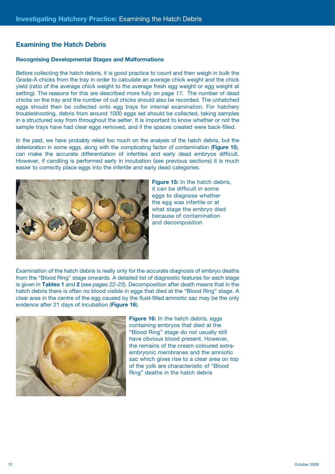## **Examining the Hatch Debris**

#### **Recognising Developmental Stages and Malformations**

Before collecting the hatch debris, it is good practice to count and then weigh in bulk the Grade-A chicks from the tray in order to calculate an average chick weight and the chick yield (ratio of the average chick weight to the average fresh egg weight or egg weight at setting). The reasons for this are described more fully on *page 17.* The number of dead chicks on the tray and the number of cull chicks should also be recorded. The unhatched eggs should then be collected onto egg trays for internal examination. For hatchery troubleshooting, debris from around 1000 eggs set should be collected, taking samples in a structured way from throughout the setter. It is important to know whether or not the sample trays have had clear eggs removed, and if the spaces created were back-filled.

In the past, we have probably relied too much on the analysis of the hatch debris, but the deterioration in some eggs, along with the complicating factor of contamination (**Figure 15**), can make the accurate differentiation of infertiles and early dead embryos difficult. However, if candling is performed early in incubation (see previous sections) it is much easier to correctly place eggs into the infertile and early dead categories.



**Figure 15:** In the hatch debris, it can be difficult in some eggs to diagnose whether the egg was infertile or at what stage the embryo died because of contamination and decomposition

Examination of the hatch debris is really only for the accurate diagnosis of embryo deaths from the "Blood Ring" stage onwards. A detailed list of diagnostic features for each stage is given in **Tables 1** and **2** (see *pages 22*-*23*). Decomposition after death means that in the hatch debris there is often no blood visible in eggs that died at the "Blood Ring" stage. A clear area in the centre of the egg caused by the fluid-filled amniotic sac may be the only evidence after 21 days of incubation (**Figure 16**).



**Figure 16:** In the hatch debris, eggs containing embryos that died at the "Blood Ring" stage do not usually still have obvious blood present. However, the remains of the cream coloured extraembryonic membranes and the amniotic sac which gives rise to a clear area on top of the yolk are characteristic of "Blood Ring" deaths in the hatch debris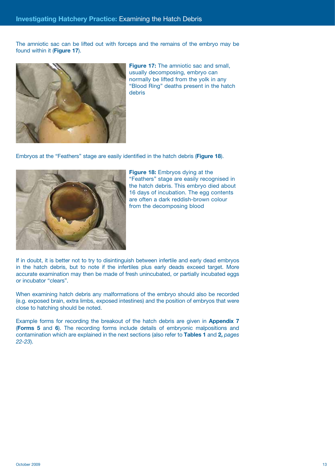The amniotic sac can be lifted out with forceps and the remains of the embryo may be found within it (**Figure 17**).



**Figure 17:** The amniotic sac and small. usually decomposing, embryo can normally be lifted from the yolk in any "Blood Ring" deaths present in the hatch debris

Embryos at the "Feathers" stage are easily identified in the hatch debris (**Figure 18**).



**Figure 18:** Embryos dying at the "Feathers" stage are easily recognised in the hatch debris. This embryo died about 16 days of incubation. The egg contents are often a dark reddish-brown colour from the decomposing blood

If in doubt, it is better not to try to disintinguish between infertile and early dead embryos in the hatch debris, but to note if the infertiles plus early deads exceed target. More accurate examination may then be made of fresh unincubated, or partially incubated eggs or incubator "clears".

When examining hatch debris any malformations of the embryo should also be recorded (e.g. exposed brain, extra limbs, exposed intestines) and the position of embryos that were close to hatching should be noted.

Example forms for recording the breakout of the hatch debris are given in **Appendix 7** (**Forms 5** and **6**). The recording forms include details of embryonic malpositions and contamination which are explained in the next sections (also refer to **Tables 1** and **2,** *pages 22-23*).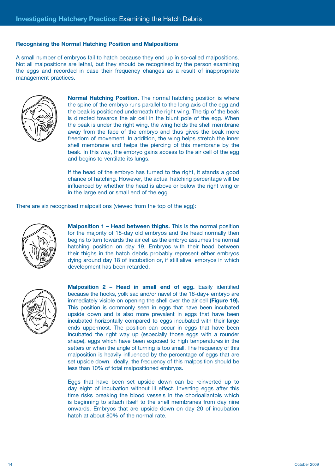#### **Recognising the Normal Hatching Position and Malpositions**

A small number of embryos fail to hatch because they end up in so-called malpositions. Not all malpositions are lethal, but they should be recognised by the person examining the eggs and recorded in case their frequency changes as a result of inappropriate management practices.



**Normal Hatching Position.** The normal hatching position is where the spine of the embryo runs parallel to the long axis of the egg and the beak is positioned underneath the right wing. The tip of the beak is directed towards the air cell in the blunt pole of the egg. When the beak is under the right wing, the wing holds the shell membrane away from the face of the embryo and thus gives the beak more freedom of movement. In addition, the wing helps stretch the inner shell membrane and helps the piercing of this membrane by the beak. In this way, the embryo gains access to the air cell of the egg and begins to ventilate its lungs.

If the head of the embryo has turned to the right, it stands a good chance of hatching. However, the actual hatching percentage will be influenced by whether the head is above or below the right wing or in the large end or small end of the egg.

There are six recognised malpositions (viewed from the top of the egg):



**Malposition 1 – Head between thighs.** This is the normal position for the majority of 18-day old embryos and the head normally then begins to turn towards the air cell as the embryo assumes the normal hatching position on day 19. Embryos with their head between their thighs in the hatch debris probably represent either embryos dying around day 18 of incubation or, if still alive, embryos in which development has been retarded.



**Malposition 2 – Head in small end of egg.** Easily identified because the hocks, yolk sac and/or navel of the 18-day+ embryo are immediately visible on opening the shell over the air cell **(Figure 19).**  This position is commonly seen in eggs that have been incubated upside down and is also more prevalent in eggs that have been incubated horizontally compared to eggs incubated with their large ends uppermost. The position can occur in eggs that have been incubated the right way up (especially those eggs with a rounder shape), eggs which have been exposed to high temperatures in the setters or when the angle of turning is too small. The frequency of this malposition is heavily influenced by the percentage of eggs that are set upside down. Ideally, the frequency of this malposition should be less than 10% of total malpositioned embryos.

Eggs that have been set upside down can be reinverted up to day eight of incubation without ill effect. Inverting eggs after this time risks breaking the blood vessels in the chorioallantois which is beginning to attach itself to the shell membranes from day nine onwards. Embryos that are upside down on day 20 of incubation hatch at about 80% of the normal rate.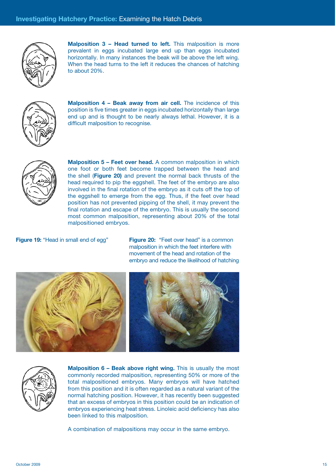

**Malposition 3 - Head turned to left.** This malposition is more prevalent in eggs incubated large end up than eggs incubated horizontally. In many instances the beak will be above the left wing. When the head turns to the left it reduces the chances of hatching to about 20%.



**Malposition 4 - Beak away from air cell.** The incidence of this position is five times greater in eggs incubated horizontally than large end up and is thought to be nearly always lethal. However, it is a difficult malposition to recognise.



**Malposition 5 – Feet over head.** A common malposition in which one foot or both feet become trapped between the head and the shell (**Figure 20)** and prevent the normal back thrusts of the head required to pip the eggshell. The feet of the embryo are also involved in the final rotation of the embryo as it cuts off the top of the eggshell to emerge from the egg. Thus, if the feet over head position has not prevented pipping of the shell, it may prevent the final rotation and escape of the embryo. This is usually the second most common malposition, representing about 20% of the total malpositioned embryos.

**Figure 19:** "Head in small end of egg" **Figure 20:** "Feet over head" is a common malposition in which the feet interfere with movement of the head and rotation of the embryo and reduce the likelihood of hatching





**Malposition 6 - Beak above right wing.** This is usually the most commonly recorded malposition, representing 50% or more of the total malpositioned embryos. Many embryos will have hatched from this position and it is often regarded as a natural variant of the normal hatching position. However, it has recently been suggested that an excess of embryos in this position could be an indication of embryos experiencing heat stress. Linoleic acid deficiency has also been linked to this malposition.

A combination of malpositions may occur in the same embryo.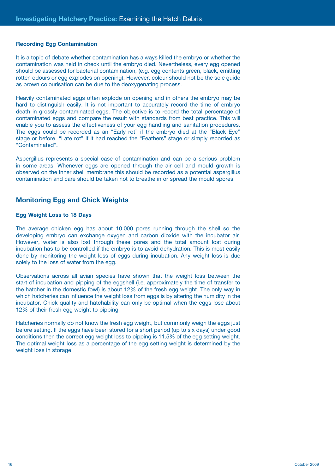#### **Recording Egg Contamination**

It is a topic of debate whether contamination has always killed the embryo or whether the contamination was held in check until the embryo died. Nevertheless, every egg opened should be assessed for bacterial contamination, (e.g. egg contents green, black, emitting rotten odours or egg explodes on opening). However, colour should not be the sole guide as brown colourisation can be due to the deoxygenating process.

Heavily contaminated eggs often explode on opening and in others the embryo may be hard to distinguish easily. It is not important to accurately record the time of embryo death in grossly contaminated eggs. The objective is to record the total percentage of contaminated eggs and compare the result with standards from best practice. This will enable you to assess the effectiveness of your egg handling and sanitation procedures. The eggs could be recorded as an "Early rot" if the embryo died at the "Black Eye" stage or before, "Late rot" if it had reached the "Feathers" stage or simply recorded as "Contaminated".

Aspergillus represents a special case of contamination and can be a serious problem in some areas. Whenever eggs are opened through the air cell and mould growth is observed on the inner shell membrane this should be recorded as a potential aspergillus contamination and care should be taken not to breathe in or spread the mould spores.

### **Monitoring Egg and Chick Weights**

#### **Egg Weight Loss to 18 Days**

The average chicken egg has about 10,000 pores running through the shell so the developing embryo can exchange oxygen and carbon dioxide with the incubator air. However, water is also lost through these pores and the total amount lost during incubation has to be controlled if the embryo is to avoid dehydration. This is most easily done by monitoring the weight loss of eggs during incubation. Any weight loss is due solely to the loss of water from the egg.

Observations across all avian species have shown that the weight loss between the start of incubation and pipping of the eggshell (i.e. approximately the time of transfer to the hatcher in the domestic fowl) is about 12% of the fresh egg weight. The only way in which hatcheries can influence the weight loss from eggs is by altering the humidity in the incubator. Chick quality and hatchability can only be optimal when the eggs lose about 12% of their fresh egg weight to pipping.

Hatcheries normally do not know the fresh egg weight, but commonly weigh the eggs just before setting. If the eggs have been stored for a short period (up to six days) under good conditions then the correct egg weight loss to pipping is 11.5% of the egg setting weight. The optimal weight loss as a percentage of the egg setting weight is determined by the weight loss in storage.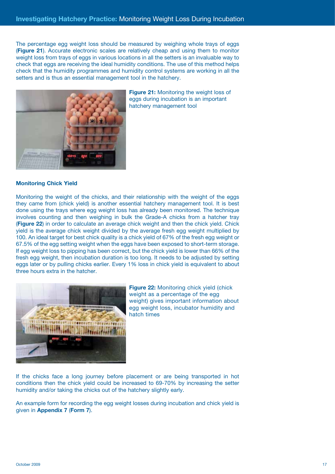The percentage egg weight loss should be measured by weighing whole trays of eggs (**Figure 21**). Accurate electronic scales are relatively cheap and using them to monitor weight loss from trays of eggs in various locations in all the setters is an invaluable way to check that eggs are receiving the ideal humidity conditions. The use of this method helps check that the humidity programmes and humidity control systems are working in all the setters and is thus an essential management tool in the hatchery.



**Figure 21:** Monitoring the weight loss of eggs during incubation is an important hatchery management tool

#### **Monitoring Chick Yield**

Monitoring the weight of the chicks, and their relationship with the weight of the eggs they came from (chick yield) is another essential hatchery management tool. It is best done using the trays where egg weight loss has already been monitored. The technique involves counting and then weighing in bulk the Grade-A chicks from a hatcher tray (**Figure 22**) in order to calculate an average chick weight and then the chick yield. Chick yield is the average chick weight divided by the average fresh egg weight multiplied by 100. An ideal target for best chick quality is a chick yield of 67% of the fresh egg weight or 67.5% of the egg setting weight when the eggs have been exposed to short-term storage. If egg weight loss to pipping has been correct, but the chick yield is lower than 66% of the fresh egg weight, then incubation duration is too long. It needs to be adjusted by setting eggs later or by pulling chicks earlier. Every 1% loss in chick yield is equivalent to about three hours extra in the hatcher.



**Figure 22:** Monitoring chick yield (chick weight as a percentage of the egg weight) gives important information about egg weight loss, incubator humidity and hatch times

If the chicks face a long journey before placement or are being transported in hot conditions then the chick yield could be increased to 69-70% by increasing the setter humidity and/or taking the chicks out of the hatchery slightly early.

An example form for recording the egg weight losses during incubation and chick yield is given in **Appendix 7** (**Form 7**).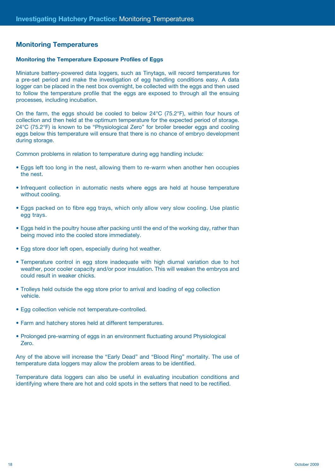## **Monitoring Temperatures**

#### **Monitoring the Temperature Exposure Profiles of Eggs**

Miniature battery-powered data loggers, such as Tinytags, will record temperatures for a pre-set period and make the investigation of egg handling conditions easy. A data logger can be placed in the nest box overnight, be collected with the eggs and then used to follow the temperature profile that the eggs are exposed to through all the ensuing processes, including incubation.

On the farm, the eggs should be cooled to below  $24^{\circ}C$  (75.2 $^{\circ}F$ ), within four hours of collection and then held at the optimum temperature for the expected period of storage. 24°C (75.2°F) is known to be "Physiological Zero" for broiler breeder eggs and cooling eggs below this temperature will ensure that there is no chance of embryo development during storage.

Common problems in relation to temperature during egg handling include:

- Eggs left too long in the nest, allowing them to re-warm when another hen occupies the nest.
- Infrequent collection in automatic nests where eggs are held at house temperature without cooling.
- Eggs packed on to fibre egg trays, which only allow very slow cooling. Use plastic egg trays.
- Eggs held in the poultry house after packing until the end of the working day, rather than being moved into the cooled store immediately.
- Egg store door left open, especially during hot weather.
- Temperature control in egg store inadequate with high diurnal variation due to hot weather, poor cooler capacity and/or poor insulation. This will weaken the embryos and could result in weaker chicks.
- Trolleys held outside the egg store prior to arrival and loading of egg collection vehicle.
- Egg collection vehicle not temperature-controlled.
- Farm and hatchery stores held at different temperatures.
- Prolonged pre-warming of eggs in an environment fluctuating around Physiological Zero.

Any of the above will increase the "Early Dead" and "Blood Ring" mortality. The use of temperature data loggers may allow the problem areas to be identified.

Temperature data loggers can also be useful in evaluating incubation conditions and identifying where there are hot and cold spots in the setters that need to be rectified.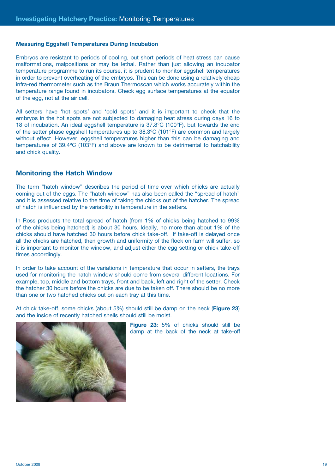#### **Measuring Eggshell Temperatures During Incubation**

Embryos are resistant to periods of cooling, but short periods of heat stress can cause malformations, malpositions or may be lethal. Rather than just allowing an incubator temperature programme to run its course, it is prudent to monitor eggshell temperatures in order to prevent overheating of the embryos. This can be done using a relatively cheap infra-red thermometer such as the Braun Thermoscan which works accurately within the temperature range found in incubators. Check egg surface temperatures at the equator of the egg, not at the air cell.

All setters have 'hot spots' and 'cold spots' and it is important to check that the embryos in the hot spots are not subjected to damaging heat stress during days 16 to 18 of incubation. An ideal eggshell temperature is 37.8°C (100°F), but towards the end of the setter phase eggshell temperatures up to 38.3ºC (101°F) are common and largely without effect. However, eggshell temperatures higher than this can be damaging and temperatures of 39.4ºC (103°F) and above are known to be detrimental to hatchability and chick quality.

#### **Monitoring the Hatch Window**

The term "hatch window" describes the period of time over which chicks are actually coming out of the eggs. The "hatch window" has also been called the "spread of hatch" and it is assessed relative to the time of taking the chicks out of the hatcher. The spread of hatch is influenced by the variability in temperature in the setters.

In Ross products the total spread of hatch (from 1% of chicks being hatched to 99% of the chicks being hatched) is about 30 hours. Ideally, no more than about 1% of the chicks should have hatched 30 hours before chick take-off. If take-off is delayed once all the chicks are hatched, then growth and uniformity of the flock on farm will suffer, so it is important to monitor the window, and adjust either the egg setting or chick take-off times accordingly.

In order to take account of the variations in temperature that occur in setters, the trays used for monitoring the hatch window should come from several different locations. For example, top, middle and bottom trays, front and back, left and right of the setter. Check the hatcher 30 hours before the chicks are due to be taken off. There should be no more than one or two hatched chicks out on each tray at this time.

At chick take-off, some chicks (about 5%) should still be damp on the neck (**Figure 23**) and the inside of recently hatched shells should still be moist.



**Figure 23:** 5% of chicks should still be damp at the back of the neck at take-off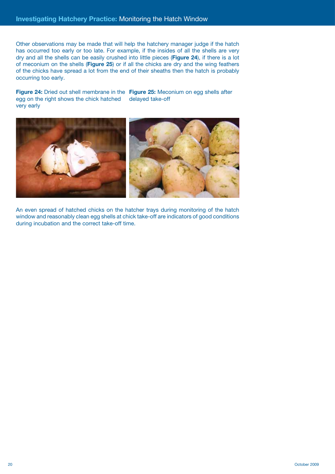Other observations may be made that will help the hatchery manager judge if the hatch has occurred too early or too late. For example, if the insides of all the shells are very dry and all the shells can be easily crushed into little pieces (**Figure 24**), if there is a lot of meconium on the shells (**Figure 25**) or if all the chicks are dry and the wing feathers of the chicks have spread a lot from the end of their sheaths then the hatch is probably occurring too early.

**Figure 24:** Dried out shell membrane in the **Figure 25:** Meconium on egg shells after egg on the right shows the chick hatched very early delayed take-off



An even spread of hatched chicks on the hatcher trays during monitoring of the hatch window and reasonably clean egg shells at chick take-off are indicators of good conditions during incubation and the correct take-off time.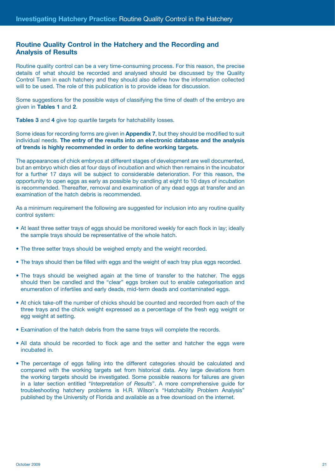## **Routine Quality Control in the Hatchery and the Recording and Analysis of Results**

Routine quality control can be a very time-consuming process. For this reason, the precise details of what should be recorded and analysed should be discussed by the Quality Control Team in each hatchery and they should also define how the information collected will to be used. The role of this publication is to provide ideas for discussion.

Some suggestions for the possible ways of classifying the time of death of the embryo are given in **Tables 1** and **2**.

**Tables 3** and **4** give top quartile targets for hatchability losses.

Some ideas for recording forms are given in **Appendix 7**, but they should be modified to suit individual needs. **The entry of the results into an electronic database and the analysis of trends is highly recommended in order to define working targets.**

The appearances of chick embryos at different stages of development are well documented, but an embryo which dies at four days of incubation and which then remains in the incubator for a further 17 days will be subject to considerable deterioration. For this reason, the opportunity to open eggs as early as possible by candling at eight to 10 days of incubation is recommended. Thereafter, removal and examination of any dead eggs at transfer and an examination of the hatch debris is recommended.

As a minimum requirement the following are suggested for inclusion into any routine quality control system:

- At least three setter trays of eggs should be monitored weekly for each flock in lay; ideally the sample trays should be representative of the whole hatch.
- The three setter trays should be weighed empty and the weight recorded.
- The trays should then be filled with eggs and the weight of each tray plus eggs recorded.
- The trays should be weighed again at the time of transfer to the hatcher. The eggs should then be candled and the "clear" eggs broken out to enable categorisation and enumeration of infertiles and early deads, mid-term deads and contaminated eggs.
- At chick take-off the number of chicks should be counted and recorded from each of the three trays and the chick weight expressed as a percentage of the fresh egg weight or egg weight at setting.
- Examination of the hatch debris from the same trays will complete the records.
- All data should be recorded to flock age and the setter and hatcher the eggs were incubated in.
- The percentage of eggs falling into the different categories should be calculated and compared with the working targets set from historical data. Any large deviations from the working targets should be investigated. Some possible reasons for failures are given in a later section entitled "*Interpretation of Results*". A more comprehensive guide for troubleshooting hatchery problems is H.R. Wilson's "Hatchability Problem Analysis" published by the University of Florida and available as a free download on the internet.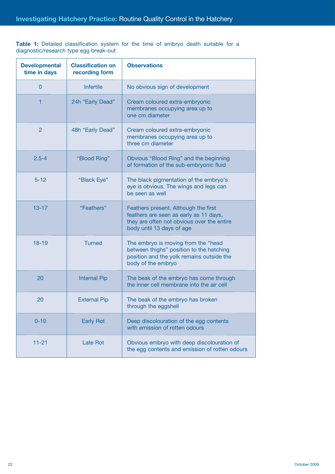Table 1: Detailed classification system for the time of embryo death suitable for a diagnostic/research type egg break-out

| <b>Developmental</b><br>time in days | <b>Classification on</b><br>recording form | <b>Observations</b>                                                                                                                                       |
|--------------------------------------|--------------------------------------------|-----------------------------------------------------------------------------------------------------------------------------------------------------------|
| $\mathbf{0}$                         | <b>Infertile</b>                           | No obvious sign of development                                                                                                                            |
| 1                                    | 24h "Early Dead"                           | Cream coloured extra-embryonic<br>membranes occupying area up to<br>one cm diameter                                                                       |
| $\overline{2}$                       | 48h "Early Dead"                           | Cream coloured extra-embryonic<br>membranes occupying area up to<br>three cm diameter                                                                     |
| $2.5 - 4$                            | "Blood Ring"                               | Obvious "Blood Ring" and the beginning<br>of formation of the sub-embryonic fluid                                                                         |
| $5 - 12$                             | "Black Eye"                                | The black pigmentation of the embryo's<br>eye is obvious. The wings and legs can<br>be seen as well                                                       |
| $13 - 17$                            | "Feathers"                                 | Feathers present. Although the first<br>feathers are seen as early as 11 days,<br>they are often not obvious over the entire<br>body until 13 days of age |
| $18 - 19$                            | <b>Turned</b>                              | The embryo is moving from the "head<br>between thighs" position to the hatching<br>position and the yolk remains outside the<br>body of the embryo        |
| 20                                   | <b>Internal Pip</b>                        | The beak of the embryo has come through<br>the inner cell membrane into the air cell                                                                      |
| 20                                   | <b>External Pip</b>                        | The beak of the embryo has broken<br>through the eggshell                                                                                                 |
| $0 - 10$                             | <b>Early Rot</b>                           | Deep discolouration of the egg contents<br>with emission of rotten odours                                                                                 |
| $11 - 21$                            | <b>Late Rot</b>                            | Obvious embryo with deep discolouration of<br>the egg contents and emission of rotten odours                                                              |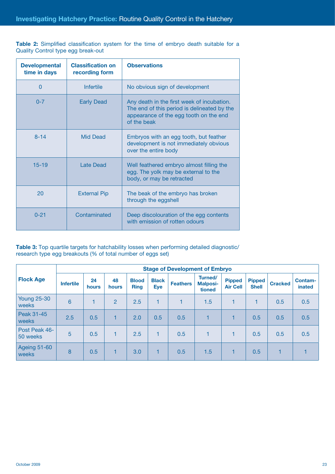**Table 2:** Simplified classification system for the time of embryo death suitable for a Quality Control type egg break-out

| <b>Developmental</b><br>time in days | <b>Classification on</b><br>recording form | <b>Observations</b>                                                                                                                                |
|--------------------------------------|--------------------------------------------|----------------------------------------------------------------------------------------------------------------------------------------------------|
| $\Omega$                             | Infertile                                  | No obvious sign of development                                                                                                                     |
| $0 - 7$                              | <b>Early Dead</b>                          | Any death in the first week of incubation.<br>The end of this period is delineated by the<br>appearance of the egg tooth on the end<br>of the beak |
| $8 - 14$                             | <b>Mid Dead</b>                            | Embryos with an egg tooth, but feather<br>development is not immediately obvious<br>over the entire body                                           |
| $15 - 19$                            | Late Dead                                  | Well feathered embryo almost filling the<br>egg. The yolk may be external to the<br>body, or may be retracted                                      |
| 20                                   | <b>External Pip</b>                        | The beak of the embryo has broken<br>through the eggshell                                                                                          |
| $0 - 21$                             | Contaminated                               | Deep discolouration of the egg contents<br>with emission of rotten odours                                                                          |

Table 3: Top quartile targets for hatchability losses when performing detailed diagnostic/ research type egg breakouts (% of total number of eggs set)

|                             | <b>Stage of Development of Embryo</b> |             |             |                             |                     |                 |                                      |                                  |                               |                |                          |
|-----------------------------|---------------------------------------|-------------|-------------|-----------------------------|---------------------|-----------------|--------------------------------------|----------------------------------|-------------------------------|----------------|--------------------------|
| <b>Flock Age</b>            | <b>Infertile</b>                      | 24<br>hours | 48<br>hours | <b>Blood</b><br><b>Ring</b> | <b>Black</b><br>Eye | <b>Feathers</b> | Turned/<br><b>Malposi-</b><br>tioned | <b>Pipped</b><br><b>Air Cell</b> | <b>Pipped</b><br><b>Shell</b> | <b>Cracked</b> | <b>Contam-</b><br>inated |
| <b>Young 25-30</b><br>weeks | $6\overline{6}$                       |             | 2           | 2.5                         | $\blacksquare$      | 1               | 1.5                                  | 1                                | 1                             | 0.5            | 0.5                      |
| Peak 31-45<br>weeks         | 2.5                                   | 0.5         | 1           | 2.0                         | 0.5                 | 0.5             | 1                                    |                                  | 0.5                           | 0.5            | 0.5                      |
| Post Peak 46-<br>50 weeks   | 5                                     | 0.5         | 1           | 2.5                         |                     | 0.5             |                                      |                                  | 0.5                           | 0.5            | 0.5                      |
| Ageing 51-60<br>weeks       | 8                                     | 0.5         | 1           | 3.0                         | 1.                  | 0.5             | 1.5                                  |                                  | 0.5                           |                |                          |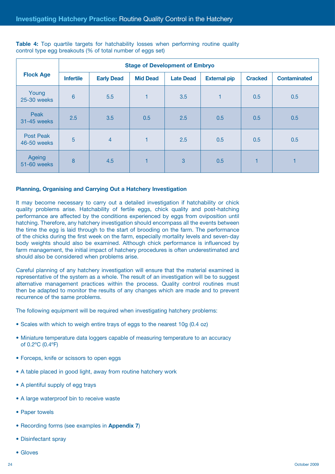|                          | <b>Stage of Development of Embryo</b> |                   |                 |                  |                     |                |                     |  |  |  |  |  |  |
|--------------------------|---------------------------------------|-------------------|-----------------|------------------|---------------------|----------------|---------------------|--|--|--|--|--|--|
| <b>Flock Age</b>         | <b>Infertile</b>                      | <b>Early Dead</b> | <b>Mid Dead</b> | <b>Late Dead</b> | <b>External pip</b> | <b>Cracked</b> | <b>Contaminated</b> |  |  |  |  |  |  |
| Young<br>25-30 weeks     | 6                                     | 5.5               | $\mathbf{1}$    | 3.5              | 1                   | 0.5            | 0.5                 |  |  |  |  |  |  |
| Peak<br>31-45 weeks      | 2.5                                   | 3.5               | 0.5             | 2.5              | 0.5                 | 0.5            | 0.5                 |  |  |  |  |  |  |
| Post Peak<br>46-50 weeks | 5                                     | $\overline{4}$    | $\mathbf{1}$    | 2.5              | 0.5                 | 0.5            | 0.5                 |  |  |  |  |  |  |
| Ageing<br>51-60 weeks    | 8                                     | 4.5               | $\mathbf{1}$    | 3                | 0.5                 | 1              |                     |  |  |  |  |  |  |

**Table 4:** Top quartile targets for hatchability losses when performing routine quality control type egg breakouts (% of total number of eggs set)

#### **Planning, Organising and Carrying Out a Hatchery Investigation**

It may become necessary to carry out a detailed investigation if hatchability or chick quality problems arise. Hatchability of fertile eggs, chick quality and post-hatching performance are affected by the conditions experienced by eggs from oviposition until hatching. Therefore, any hatchery investigation should encompass all the events between the time the egg is laid through to the start of brooding on the farm. The performance of the chicks during the first week on the farm, especially mortality levels and seven-day body weights should also be examined. Although chick performance is influenced by farm management, the initial impact of hatchery procedures is often underestimated and should also be considered when problems arise.

Careful planning of any hatchery investigation will ensure that the material examined is representative of the system as a whole. The result of an investigation will be to suggest alternative management practices within the process. Quality control routines must then be adapted to monitor the results of any changes which are made and to prevent recurrence of the same problems.

The following equipment will be required when investigating hatchery problems:

- Scales with which to weigh entire trays of eggs to the nearest 10g (0.4 oz)
- Miniature temperature data loggers capable of measuring temperature to an accuracy of 0.2ºC (0.4ºF)
- Forceps, knife or scissors to open eggs
- A table placed in good light, away from routine hatchery work
- A plentiful supply of egg trays
- A large waterproof bin to receive waste
- Paper towels
- Recording forms (see examples in **Appendix 7**)
- Disinfectant spray
- Gloves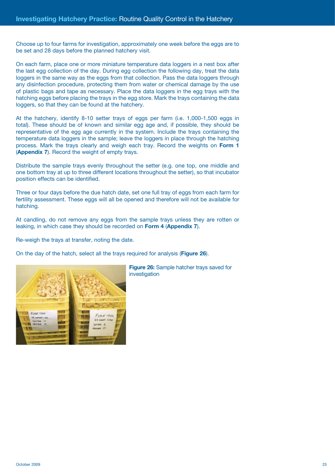Choose up to four farms for investigation, approximately one week before the eggs are to be set and 28 days before the planned hatchery visit.

On each farm, place one or more miniature temperature data loggers in a nest box after the last egg collection of the day. During egg collection the following day, treat the data loggers in the same way as the eggs from that collection. Pass the data loggers through any disinfection procedure, protecting them from water or chemical damage by the use of plastic bags and tape as necessary. Place the data loggers in the egg trays with the hatching eggs before placing the trays in the egg store. Mark the trays containing the data loggers, so that they can be found at the hatchery.

At the hatchery, identify 8-10 setter trays of eggs per farm (i.e. 1,000-1,500 eggs in total). These should be of known and similar egg age and, if possible, they should be representative of the egg age currently in the system. Include the trays containing the temperature data loggers in the sample; leave the loggers in place through the hatching process. Mark the trays clearly and weigh each tray. Record the weights on **Form 1** (**Appendix 7**). Record the weight of empty trays.

Distribute the sample trays evenly throughout the setter (e.g. one top, one middle and one bottom tray at up to three different locations throughout the setter), so that incubator position effects can be identified.

Three or four days before the due hatch date, set one full tray of eggs from each farm for fertility assessment. These eggs will all be opened and therefore will not be available for hatching.

At candling, do not remove any eggs from the sample trays unless they are rotten or leaking, in which case they should be recorded on **Form 4** (**Appendix 7**).

Re-weigh the trays at transfer, noting the date.

On the day of the hatch, select all the trays required for analysis (**Figure 26**).



**Figure 26:** Sample hatcher trays saved for investigation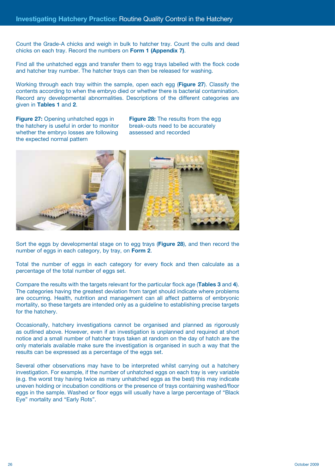Count the Grade-A chicks and weigh in bulk to hatcher tray. Count the culls and dead chicks on each tray. Record the numbers on **Form 1 (Appendix 7)**.

Find all the unhatched eggs and transfer them to egg trays labelled with the flock code and hatcher tray number. The hatcher trays can then be released for washing.

Working through each tray within the sample, open each egg (**Figure 27**). Classify the contents according to when the embryo died or whether there is bacterial contamination. Record any developmental abnormalities. Descriptions of the different categories are given in **Tables 1** and **2**.

**Figure 27:** Opening unhatched eggs in the hatchery is useful in order to monitor whether the embryo losses are following the expected normal pattern

**Figure 28:** The results from the egg break-outs need to be accurately assessed and recorded



Sort the eggs by developmental stage on to egg trays (**Figure 28**), and then record the number of eggs in each category, by tray, on **Form 2**.

Total the number of eggs in each category for every flock and then calculate as a percentage of the total number of eggs set.

Compare the results with the targets relevant for the particular flock age (**Tables 3** and **4**). The categories having the greatest deviation from target should indicate where problems are occurring. Health, nutrition and management can all affect patterns of embryonic mortality, so these targets are intended only as a guideline to establishing precise targets for the hatchery.

Occasionally, hatchery investigations cannot be organised and planned as rigorously as outlined above. However, even if an investigation is unplanned and required at short notice and a small number of hatcher trays taken at random on the day of hatch are the only materials available make sure the investigation is organised in such a way that the results can be expressed as a percentage of the eggs set.

Several other observations may have to be interpreted whilst carrying out a hatchery investigation. For example, if the number of unhatched eggs on each tray is very variable (e.g. the worst tray having twice as many unhatched eggs as the best) this may indicate uneven holding or incubation conditions or the presence of trays containing washed/floor eggs in the sample. Washed or floor eggs will usually have a large percentage of "Black Eye" mortality and "Early Rots".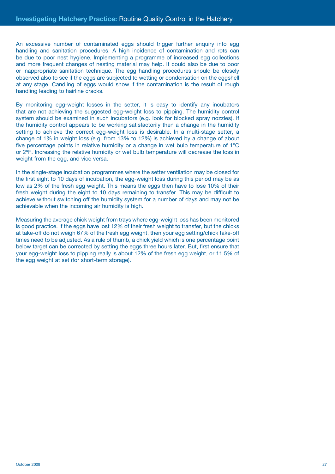An excessive number of contaminated eggs should trigger further enquiry into egg handling and sanitation procedures. A high incidence of contamination and rots can be due to poor nest hygiene. Implementing a programme of increased egg collections and more frequent changes of nesting material may help. It could also be due to poor or inappropriate sanitation technique. The egg handling procedures should be closely observed also to see if the eggs are subjected to wetting or condensation on the eggshell at any stage. Candling of eggs would show if the contamination is the result of rough handling leading to hairline cracks.

By monitoring egg-weight losses in the setter, it is easy to identify any incubators that are not achieving the suggested egg-weight loss to pipping. The humidity control system should be examined in such incubators (e.g. look for blocked spray nozzles). If the humidity control appears to be working satisfactorily then a change in the humidity setting to achieve the correct egg-weight loss is desirable. In a multi-stage setter, a change of 1% in weight loss (e.g. from 13% to 12%) is achieved by a change of about five percentage points in relative humidity or a change in wet bulb temperature of 1ºC or 2ºF. Increasing the relative humidity or wet bulb temperature will decrease the loss in weight from the egg, and vice versa.

In the single-stage incubation programmes where the setter ventilation may be closed for the first eight to 10 days of incubation, the egg-weight loss during this period may be as low as 2% of the fresh egg weight. This means the eggs then have to lose 10% of their fresh weight during the eight to 10 days remaining to transfer. This may be difficult to achieve without switching off the humidity system for a number of days and may not be achievable when the incoming air humidity is high.

Measuring the average chick weight from trays where egg-weight loss has been monitored is good practice. If the eggs have lost 12% of their fresh weight to transfer, but the chicks at take-off do not weigh 67% of the fresh egg weight, then your egg setting/chick take-off times need to be adjusted. As a rule of thumb, a chick yield which is one percentage point below target can be corrected by setting the eggs three hours later. But, first ensure that your egg-weight loss to pipping really is about 12% of the fresh egg weight, or 11.5% of the egg weight at set (for short-term storage).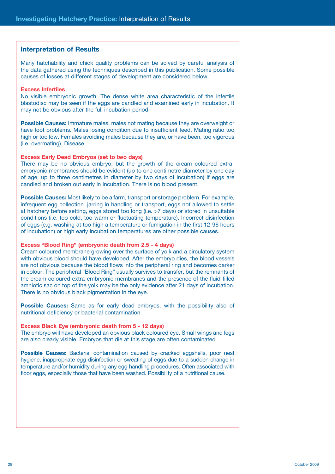#### **Interpretation of Results**

Many hatchability and chick quality problems can be solved by careful analysis of the data gathered using the techniques described in this publication. Some possible causes of losses at different stages of development are considered below.

#### **Excess Infertiles**

No visible embryonic growth. The dense white area characteristic of the infertile blastodisc may be seen if the eggs are candled and examined early in incubation. It may not be obvious after the full incubation period.

**Possible Causes:** Immature males, males not mating because they are overweight or have foot problems. Males losing condition due to insufficient feed. Mating ratio too high or too low. Females avoiding males because they are, or have been, too vigorous (i.e. overmating). Disease.

#### **Excess Early Dead Embryos (set to two days)**

There may be no obvious embryo, but the growth of the cream coloured extraembryonic membranes should be evident (up to one centimetre diameter by one day of age, up to three centimetres in diameter by two days of incubation) if eggs are candled and broken out early in incubation. There is no blood present.

**Possible Causes:** Most likely to be a farm, transport or storage problem. For example, infrequent egg collection. jarring in handling or transport, eggs not allowed to settle at hatchery before setting, eggs stored too long (i.e. >7 days) or stored in unsuitable conditions (i.e. too cold, too warm or fluctuating temperature). Incorrect disinfection of eggs (e.g. washing at too high a temperature or fumigation in the first 12-96 hours of incubation) or high early incubation temperatures are other possible causes.

#### **Excess "Blood Ring" (embryonic death from 2.5 - 4 days)**

Cream coloured membrane growing over the surface of yolk and a circulatory system with obvious blood should have developed. After the embryo dies, the blood vessels are not obvious because the blood flows into the peripheral ring and becomes darker in colour. The peripheral "Blood Ring" usually survives to transfer, but the remnants of the cream coloured extra-embryonic membranes and the presence of the fluid-filled amniotic sac on top of the yolk may be the only evidence after 21 days of incubation. There is no obvious black pigmentation in the eye.

**Possible Causes:** Same as for early dead embryos, with the possibility also of nutritional deficiency or bacterial contamination.

#### **Excess Black Eye (embryonic death from 5 - 12 days)**

The embryo will have developed an obvious black coloured eye. Small wings and legs are also clearly visible. Embryos that die at this stage are often contaminated.

**Possible Causes:** Bacterial contamination caused by cracked eggshells, poor nest hygiene, inappropriate egg disinfection or sweating of eggs due to a sudden change in temperature and/or humidity during any egg handling procedures. Often associated with floor eggs, especially those that have been washed. Possibility of a nutritional cause.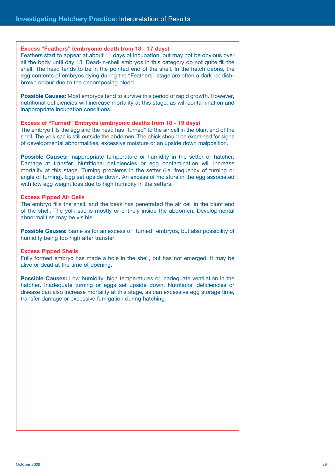#### **Excess "Feathers" (embryonic death from 13 - 17 days)**

Feathers start to appear at about 11 days of incubation, but may not be obvious over all the body until day 13. Dead-in-shell embryos in this category do not quite fill the shell. The head tends to be in the pointed end of the shell. In the hatch debris, the egg contents of embryos dying during the "Feathers" stage are often a dark reddishbrown colour due to the decomposing blood.

**Possible Causes:** Most embryos tend to survive this period of rapid growth. However, nutritional deficiencies will increase mortality at this stage, as will contamination and inappropriate incubation conditions.

#### **Excess of "Turned" Embryos (embryonic deaths from 18 - 19 days)**

The embryo fills the egg and the head has "turned" to the air cell in the blunt end of the shell. The yolk sac is still outside the abdomen. The chick should be examined for signs of developmental abnormalities, excessive moisture or an upside down malposition.

**Possible Causes:** Inappropriate temperature or humidity in the setter or hatcher. Damage at transfer. Nutritional deficiencies or egg contamination will increase mortality at this stage. Turning problems in the setter (i.e. frequency of turning or angle of turning). Egg set upside down. An excess of moisture in the egg associated with low egg weight loss due to high humidity in the setters.

#### **Excess Pipped Air Cells**

The embryo fills the shell, and the beak has penetrated the air cell in the blunt end of the shell. The yolk sac is mostly or entirely inside the abdomen. Developmental abnormalities may be visible.

**Possible Causes:** Same as for an excess of "turned" embryos, but also possibility of humidity being too high after transfer.

#### **Excess Pipped Shells**

Fully formed embryo has made a hole in the shell, but has not emerged. It may be alive or dead at the time of opening.

**Possible Causes:** Low humidity, high temperatures or inadequate ventilation in the hatcher. Inadequate turning or eggs set upside down. Nutritional deficiencies or disease can also increase mortality at this stage, as can excessive egg storage time, transfer damage or excessive fumigation during hatching.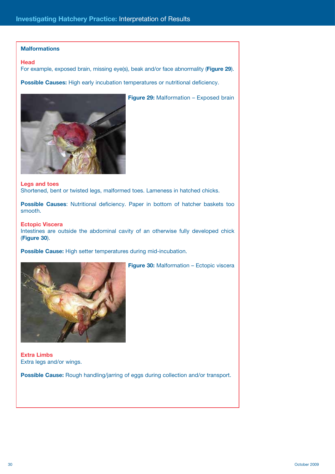#### **Malformations**

#### **Head**

For example, exposed brain, missing eye(s), beak and/or face abnormality (**Figure 29**).

Possible Causes: High early incubation temperatures or nutritional deficiency.



**Legs and toes** Shortened, bent or twisted legs, malformed toes. Lameness in hatched chicks.

**Possible Causes**: Nutritional deficiency. Paper in bottom of hatcher baskets too smooth.

#### **Ectopic Viscera**

Intestines are outside the abdominal cavity of an otherwise fully developed chick (**Figure 30**).

**Figure 30:** Malformation – Ectopic viscera

**Possible Cause:** High setter temperatures during mid-incubation.



**Extra Limbs** Extra legs and/or wings.

**Possible Cause:** Rough handling/jarring of eggs during collection and/or transport.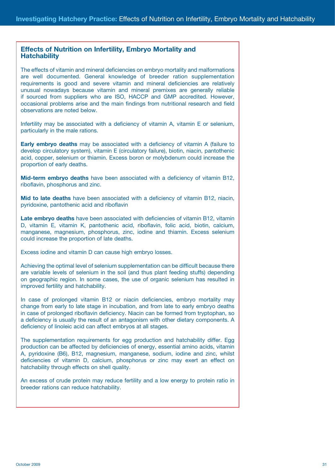## **Effects of Nutrition on Infertility, Embryo Mortality and Hatchability**

The effects of vitamin and mineral deficiencies on embryo mortality and malformations are well documented. General knowledge of breeder ration supplementation requirements is good and severe vitamin and mineral deficiencies are relatively unusual nowadays because vitamin and mineral premixes are generally reliable if sourced from suppliers who are ISO, HACCP and GMP accredited. However, occasional problems arise and the main findings from nutritional research and field observations are noted below.

Infertility may be associated with a deficiency of vitamin A, vitamin E or selenium, particularly in the male rations.

**Early embryo deaths** may be associated with a deficiency of vitamin A (failure to develop circulatory system), vitamin E (circulatory failure), biotin, niacin, pantothenic acid, copper, selenium or thiamin. Excess boron or molybdenum could increase the proportion of early deaths.

**Mid-term embryo deaths** have been associated with a deficiency of vitamin B12, riboflavin, phosphorus and zinc.

**Mid to late deaths** have been associated with a deficiency of vitamin B12, niacin, pyridoxine, pantothenic acid and riboflavin

**Late embryo deaths** have been associated with deficiencies of vitamin B12, vitamin D, vitamin E, vitamin K, pantothenic acid, riboflavin, folic acid, biotin, calcium, manganese, magnesium, phosphorus, zinc, iodine and thiamin. Excess selenium could increase the proportion of late deaths.

Excess iodine and vitamin D can cause high embryo losses.

Achieving the optimal level of selenium supplementation can be difficult because there are variable levels of selenium in the soil (and thus plant feeding stuffs) depending on geographic region. In some cases, the use of organic selenium has resulted in improved fertility and hatchability.

In case of prolonged vitamin B12 or niacin deficiencies, embryo mortality may change from early to late stage in incubation, and from late to early embryo deaths in case of prolonged riboflavin deficiency. Niacin can be formed from tryptophan, so a deficiency is usually the result of an antagonism with other dietary components. A deficiency of linoleic acid can affect embryos at all stages.

The supplementation requirements for egg production and hatchability differ. Egg production can be affected by deficiencies of energy, essential amino acids, vitamin A, pyridoxine (B6), B12, magnesium, manganese, sodium, iodine and zinc, whilst deficiencies of vitamin D, calcium, phosphorus or zinc may exert an effect on hatchability through effects on shell quality.

An excess of crude protein may reduce fertility and a low energy to protein ratio in breeder rations can reduce hatchability.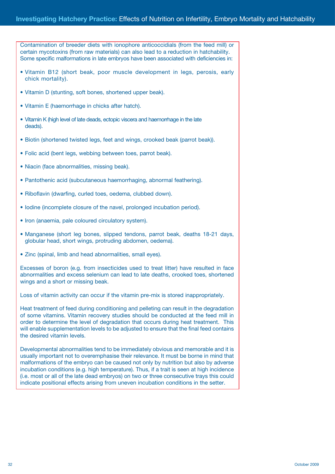Contamination of breeder diets with ionophore anticoccidials (from the feed mill) or certain mycotoxins (from raw materials) can also lead to a reduction in hatchability. Some specific malformations in late embryos have been associated with deficiencies in:

- Vitamin B12 (short beak, poor muscle development in legs, perosis, early chick mortality).
- Vitamin D (stunting, soft bones, shortened upper beak).
- Vitamin E (haemorrhage in chicks after hatch).
- Vitamin K (high level of late deads, ectopic viscera and haemorrhage in the late deads).
- Biotin (shortened twisted legs, feet and wings, crooked beak (parrot beak)).
- Folic acid (bent legs, webbing between toes, parrot beak).
- Niacin (face abnormalities, missing beak).
- Pantothenic acid (subcutaneous haemorrhaging, abnormal feathering).
- Riboflavin (dwarfing, curled toes, oedema, clubbed down).
- Iodine (incomplete closure of the navel, prolonged incubation period).
- Iron (anaemia, pale coloured circulatory system).
- Manganese (short leg bones, slipped tendons, parrot beak, deaths 18-21 days, globular head, short wings, protruding abdomen, oedema).
- Zinc (spinal, limb and head abnormalities, small eyes).

Excesses of boron (e.g. from insecticides used to treat litter) have resulted in face abnormalities and excess selenium can lead to late deaths, crooked toes, shortened wings and a short or missing beak.

Loss of vitamin activity can occur if the vitamin pre-mix is stored inappropriately.

Heat treatment of feed during conditioning and pelleting can result in the degradation of some vitamins. Vitamin recovery studies should be conducted at the feed mill in order to determine the level of degradation that occurs during heat treatment. This will enable supplementation levels to be adjusted to ensure that the final feed contains the desired vitamin levels.

Developmental abnormalities tend to be immediately obvious and memorable and it is usually important not to overemphasise their relevance. It must be borne in mind that malformations of the embryo can be caused not only by nutrition but also by adverse incubation conditions (e.g. high temperature). Thus, if a trait is seen at high incidence (i.e. most or all of the late dead embryos) on two or three consecutive trays this could indicate positional effects arising from uneven incubation conditions in the setter.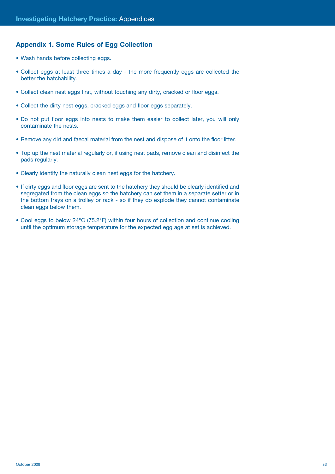#### **Appendix 1. Some Rules of Egg Collection**

- Wash hands before collecting eggs.
- Collect eggs at least three times a day the more frequently eggs are collected the better the hatchability.
- Collect clean nest eggs first, without touching any dirty, cracked or floor eggs.
- Collect the dirty nest eggs, cracked eggs and floor eggs separately.
- Do not put floor eggs into nests to make them easier to collect later, you will only contaminate the nests.
- Remove any dirt and faecal material from the nest and dispose of it onto the floor litter.
- Top up the nest material regularly or, if using nest pads, remove clean and disinfect the pads regularly.
- Clearly identify the naturally clean nest eggs for the hatchery.
- If dirty eggs and floor eggs are sent to the hatchery they should be clearly identified and segregated from the clean eggs so the hatchery can set them in a separate setter or in the bottom trays on a trolley or rack - so if they do explode they cannot contaminate clean eggs below them.
- Cool eggs to below 24°C (75.2°F) within four hours of collection and continue cooling until the optimum storage temperature for the expected egg age at set is achieved.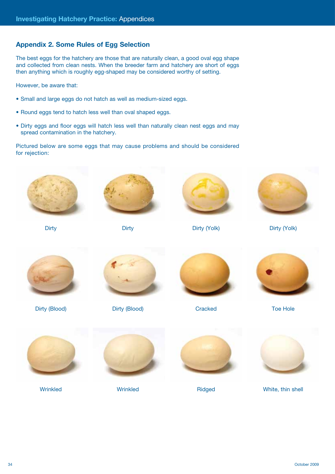## **Appendix 2. Some Rules of Egg Selection**

The best eggs for the hatchery are those that are naturally clean, a good oval egg shape and collected from clean nests. When the breeder farm and hatchery are short of eggs then anything which is roughly egg-shaped may be considered worthy of setting.

However, be aware that:

- Small and large eggs do not hatch as well as medium-sized eggs.
- Round eggs tend to hatch less well than oval shaped eggs.
- Dirty eggs and floor eggs will hatch less well than naturally clean nest eggs and may spread contamination in the hatchery.

Pictured below are some eggs that may cause problems and should be considered for rejection:

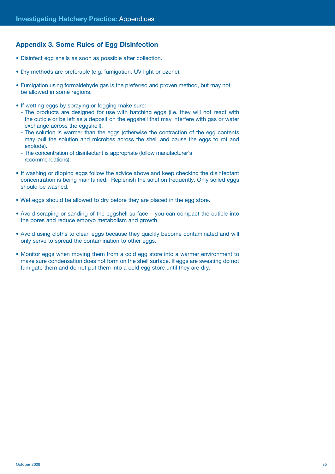## **Appendix 3. Some Rules of Egg Disinfection**

- Disinfect egg shells as soon as possible after collection.
- Dry methods are preferable (e.g. fumigation, UV light or ozone).
- Fumigation using formaldehyde gas is the preferred and proven method, but may not be allowed in some regions.
- If wetting eggs by spraying or fogging make sure:
	- The products are designed for use with hatching eggs (i.e. they will not react with the cuticle or be left as a deposit on the eggshell that may interfere with gas or water exchange across the eggshell).
	- The solution is warmer than the eggs (otherwise the contraction of the egg contents may pull the solution and microbes across the shell and cause the eggs to rot and explode).
	- The concentration of disinfectant is appropriate (follow manufacturer's recommendations).
- If washing or dipping eggs follow the advice above and keep checking the disinfectant concentration is being maintained. Replenish the solution frequently. Only soiled eggs should be washed.
- Wet eggs should be allowed to dry before they are placed in the egg store.
- Avoid scraping or sanding of the eggshell surface you can compact the cuticle into the pores and reduce embryo metabolism and growth.
- Avoid using cloths to clean eggs because they quickly become contaminated and will only serve to spread the contamination to other eggs.
- Monitor eggs when moving them from a cold egg store into a warmer environment to make sure condensation does not form on the shell surface. If eggs are sweating do not fumigate them and do not put them into a cold egg store until they are dry.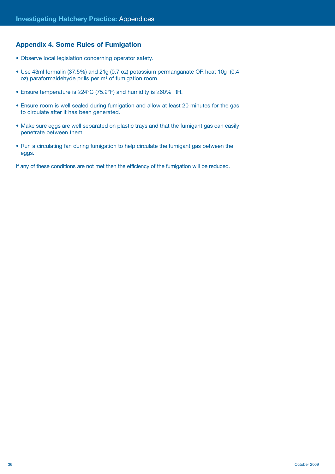## **Appendix 4. Some Rules of Fumigation**

- Observe local legislation concerning operator safety.
- Use 43ml formalin (37.5%) and 21g (0.7 oz) potassium permanganate OR heat 10g (0.4  $oz$ ) paraformaldehyde prills per  $m<sup>3</sup>$  of fumigation room.
- Ensure temperature is ≥24°C (75.2°F) and humidity is ≥60% RH.
- Ensure room is well sealed during fumigation and allow at least 20 minutes for the gas to circulate after it has been generated.
- Make sure eggs are well separated on plastic trays and that the fumigant gas can easily penetrate between them.
- Run a circulating fan during fumigation to help circulate the fumigant gas between the eggs.

If any of these conditions are not met then the efficiency of the fumigation will be reduced.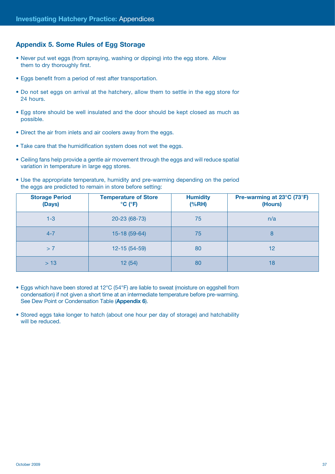## **Appendix 5. Some Rules of Egg Storage**

- Never put wet eggs (from spraying, washing or dipping) into the egg store. Allow them to dry thoroughly first.
- Eggs benefit from a period of rest after transportation.
- Do not set eggs on arrival at the hatchery, allow them to settle in the egg store for 24 hours.
- Egg store should be well insulated and the door should be kept closed as much as possible.
- Direct the air from inlets and air coolers away from the eggs.
- Take care that the humidification system does not wet the eggs.
- Ceiling fans help provide a gentle air movement through the eggs and will reduce spatial variation in temperature in large egg stores.
- Use the appropriate temperature, humidity and pre-warming depending on the period the eggs are predicted to remain in store before setting:

| <b>Storage Period</b><br>(Days) | <b>Temperature of Store</b><br>$^{\circ}$ C ( $^{\circ}$ F) | <b>Humidity</b><br>(%RH) | Pre-warming at 23°C (73°F)<br>(Hours) |  |  |  |
|---------------------------------|-------------------------------------------------------------|--------------------------|---------------------------------------|--|--|--|
| $1 - 3$                         | 20-23 (68-73)                                               | 75                       | n/a                                   |  |  |  |
| $4 - 7$                         | $15-18(59-64)$                                              | 75                       | 8                                     |  |  |  |
| >7                              | $12 - 15(54 - 59)$                                          | 80                       | $12 \overline{ }$                     |  |  |  |
| > 13                            | 12(54)                                                      | 80                       | 18                                    |  |  |  |

- Eggs which have been stored at 12°C (54°F) are liable to sweat (moisture on eggshell from condensation) if not given a short time at an intermediate temperature before pre-warming. See Dew Point or Condensation Table (**Appendix 6**).
- Stored eggs take longer to hatch (about one hour per day of storage) and hatchability will be reduced.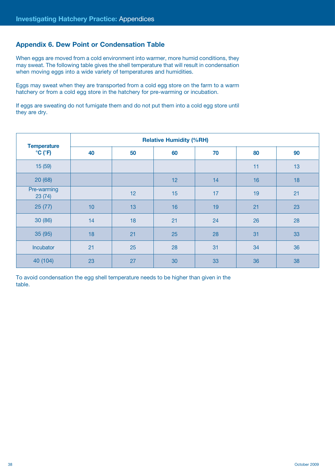## **Appendix 6. Dew Point or Condensation Table**

When eggs are moved from a cold environment into warmer, more humid conditions, they may sweat. The following table gives the shell temperature that will result in condensation when moving eggs into a wide variety of temperatures and humidities.

Eggs may sweat when they are transported from a cold egg store on the farm to a warm hatchery or from a cold egg store in the hatchery for pre-warming or incubation.

If eggs are sweating do not fumigate them and do not put them into a cold egg store until they are dry.

| <b>Temperature</b>                  | <b>Relative Humidity (%RH)</b> |    |    |          |    |    |  |  |  |  |  |  |  |
|-------------------------------------|--------------------------------|----|----|----------|----|----|--|--|--|--|--|--|--|
| $\rm ^{\circ}C$ ( $\rm ^{\circ}F$ ) | 40                             | 50 |    | 60<br>70 |    | 90 |  |  |  |  |  |  |  |
| 15 (59)                             |                                |    |    |          | 11 | 13 |  |  |  |  |  |  |  |
| 20(68)                              |                                |    | 12 | 14       | 16 | 18 |  |  |  |  |  |  |  |
| Pre-warming<br>23(74)               |                                | 12 | 15 | 17       | 19 | 21 |  |  |  |  |  |  |  |
| 25(77)                              | 10                             | 13 | 16 | 19       | 21 | 23 |  |  |  |  |  |  |  |
| 30 (86)                             | 14                             | 18 | 21 | 24       | 26 | 28 |  |  |  |  |  |  |  |
| 35 (95)                             | 18                             | 21 | 25 | 28       | 31 | 33 |  |  |  |  |  |  |  |
| Incubator                           | 21                             | 25 | 28 | 31       | 34 | 36 |  |  |  |  |  |  |  |
| 40 (104)                            | 23                             | 27 | 30 | 33       | 36 | 38 |  |  |  |  |  |  |  |

To avoid condensation the egg shell temperature needs to be higher than given in the table.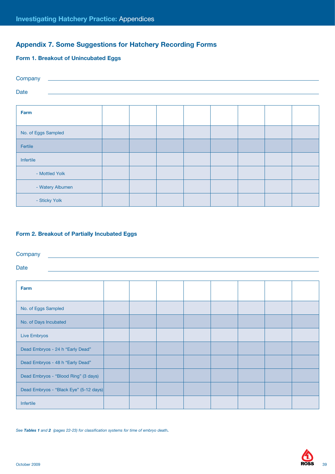## **Appendix 7. Some Suggestions for Hatchery Recording Forms**

### **Form 1. Breakout of Unincubated Eggs**

| Company             |  |  |  |  |
|---------------------|--|--|--|--|
| Date                |  |  |  |  |
|                     |  |  |  |  |
| Farm                |  |  |  |  |
|                     |  |  |  |  |
| No. of Eggs Sampled |  |  |  |  |
| Fertile             |  |  |  |  |
| Infertile           |  |  |  |  |
| - Mottled Yolk      |  |  |  |  |
| - Watery Albumen    |  |  |  |  |
| - Sticky Yolk       |  |  |  |  |

#### **Form 2. Breakout of Partially Incubated Eggs**

**Company** 

Date

| Farm                                   |  |  |  |  |
|----------------------------------------|--|--|--|--|
| No. of Eggs Sampled                    |  |  |  |  |
| No. of Days Incubated                  |  |  |  |  |
| <b>Live Embryos</b>                    |  |  |  |  |
| Dead Embryos - 24 h "Early Dead"       |  |  |  |  |
| Dead Embryos - 48 h "Early Dead"       |  |  |  |  |
| Dead Embryos - "Blood Ring" (3 days)   |  |  |  |  |
| Dead Embryos - "Black Eye" (5-12 days) |  |  |  |  |
| Infertile                              |  |  |  |  |

*See Tables 1 and 2 (pages 22-23) for classification systems for time of embryo death.*

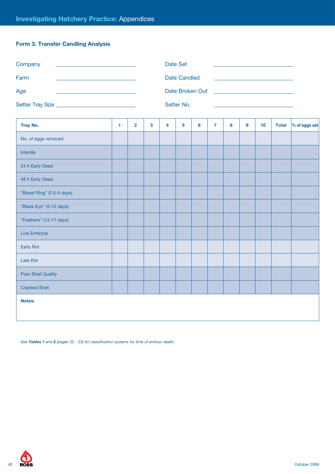## **Form 3. Transfer Candling Analysis**

| Company<br>the control of the control of the control of the control of the control of the control of | Date Set                                                                                                                                                                                                                       |
|------------------------------------------------------------------------------------------------------|--------------------------------------------------------------------------------------------------------------------------------------------------------------------------------------------------------------------------------|
| Farm                                                                                                 | Date Candled                                                                                                                                                                                                                   |
| Age                                                                                                  | Date Broken Out and the contract of the contract of the contract of the contract of the contract of the contract of the contract of the contract of the contract of the contract of the contract of the contract of the contra |
| Setter Tray Size                                                                                     | Setter No.                                                                                                                                                                                                                     |

| Tray No.                  | 1. | $\overline{2}$ | $\mathbf{3}$ | $\overline{\mathbf{4}}$ | 5 | 6 | $\overline{7}$ | 8 | $\boldsymbol{9}$ | 10 | <b>Total</b> | $%$ of eggs set |
|---------------------------|----|----------------|--------------|-------------------------|---|---|----------------|---|------------------|----|--------------|-----------------|
| No. of eggs removed       |    |                |              |                         |   |   |                |   |                  |    |              |                 |
| Infertile                 |    |                |              |                         |   |   |                |   |                  |    |              |                 |
| 24 h Early Dead           |    |                |              |                         |   |   |                |   |                  |    |              |                 |
| 48 h Early Dead           |    |                |              |                         |   |   |                |   |                  |    |              |                 |
| "Blood Ring" (2.5-4 days) |    |                |              |                         |   |   |                |   |                  |    |              |                 |
| "Black Eye" (5-12 days)   |    |                |              |                         |   |   |                |   |                  |    |              |                 |
| "Feathers" (13-17 days)   |    |                |              |                         |   |   |                |   |                  |    |              |                 |
| Live Embryos              |    |                |              |                         |   |   |                |   |                  |    |              |                 |
| Early Rot                 |    |                |              |                         |   |   |                |   |                  |    |              |                 |
| Late Rot                  |    |                |              |                         |   |   |                |   |                  |    |              |                 |
| Poor Shell Quality        |    |                |              |                         |   |   |                |   |                  |    |              |                 |
| <b>Cracked Shell</b>      |    |                |              |                         |   |   |                |   |                  |    |              |                 |
| Notes:                    |    |                |              |                         |   |   |                |   |                  |    |              |                 |
|                           |    |                |              |                         |   |   |                |   |                  |    |              |                 |

 *See Tables 1 and <sup>2</sup> (pages 22 - 23) for classification systems for time of embryo death.*

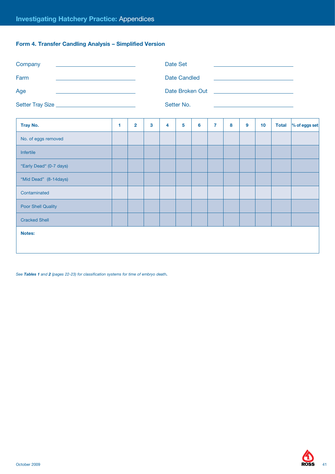## **Form 4. Transfer Candling Analysis – Simplified Version**

| Company<br><u> 1990 - Johann Barbara, martin amerikan basal da</u>                                                                                                                                                                          |                |                                                                                                |                     |   | Date Set |                |   |   |    |              |                                                                                                                      |
|---------------------------------------------------------------------------------------------------------------------------------------------------------------------------------------------------------------------------------------------|----------------|------------------------------------------------------------------------------------------------|---------------------|---|----------|----------------|---|---|----|--------------|----------------------------------------------------------------------------------------------------------------------|
|                                                                                                                                                                                                                                             |                |                                                                                                | <b>Date Candled</b> |   |          |                |   |   |    |              |                                                                                                                      |
| Age<br><u> 2008 - An Dùbhlachd ann an Dùbhlachd ann an Dùbhlachd ann an Dùbhlachd ann an Dùbhlachd ann an Dùbhlachd ann an Dùbhlachd ann an Dùbhlachd ann an Dùbhlachd ann an Dùbhlachd ann an Dùbhlachd ann an Dùbhlachd ann an Dùbhla</u> |                |                                                                                                |                     |   |          |                |   |   |    |              |                                                                                                                      |
|                                                                                                                                                                                                                                             |                |                                                                                                |                     |   |          |                |   |   |    |              |                                                                                                                      |
| 1                                                                                                                                                                                                                                           | $\overline{2}$ | 3                                                                                              | 4                   | 5 | 6        | $\overline{7}$ | 8 | 9 | 10 | <b>Total</b> | % of eggs set                                                                                                        |
|                                                                                                                                                                                                                                             |                |                                                                                                |                     |   |          |                |   |   |    |              |                                                                                                                      |
|                                                                                                                                                                                                                                             |                |                                                                                                |                     |   |          |                |   |   |    |              |                                                                                                                      |
|                                                                                                                                                                                                                                             |                |                                                                                                |                     |   |          |                |   |   |    |              |                                                                                                                      |
|                                                                                                                                                                                                                                             |                |                                                                                                |                     |   |          |                |   |   |    |              |                                                                                                                      |
|                                                                                                                                                                                                                                             |                |                                                                                                |                     |   |          |                |   |   |    |              |                                                                                                                      |
|                                                                                                                                                                                                                                             |                |                                                                                                |                     |   |          |                |   |   |    |              |                                                                                                                      |
|                                                                                                                                                                                                                                             |                |                                                                                                |                     |   |          |                |   |   |    |              |                                                                                                                      |
|                                                                                                                                                                                                                                             |                |                                                                                                |                     |   |          |                |   |   |    |              |                                                                                                                      |
|                                                                                                                                                                                                                                             |                |                                                                                                |                     |   |          |                |   |   |    |              |                                                                                                                      |
|                                                                                                                                                                                                                                             |                | the control of the control of the control of the control of the control of<br>Setter Tray Size |                     |   |          | Setter No.     |   |   |    |              | <u> Alexandria de la contrada de la contrada de la contrada de la contrada de la contrada de la contrada de la c</u> |

*See Tables 1 and 2 (pages 22-23) for classification systems for time of embryo death.*

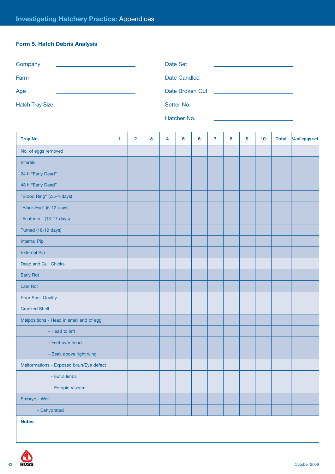## **Form 5. Hatch Debris Analysis**

| Company                                                                                           | Date Set                                                                                                                                  |
|---------------------------------------------------------------------------------------------------|-------------------------------------------------------------------------------------------------------------------------------------------|
| Farm<br>the control of the control of the control of the control of the control of the control of | Date Candled<br>the contract of the contract of the contract of the contract of the contract of                                           |
| Age                                                                                               | Date Broken Out<br><u> Alexandria (Carlo Carlo Carlo Carlo Carlo Carlo Carlo Carlo Carlo Carlo Carlo Carlo Carlo Carlo Carlo Carlo Ca</u> |
| Hatch Tray Size                                                                                   | Setter No.                                                                                                                                |
|                                                                                                   | Hatcher No                                                                                                                                |

|  | natcher No. |
|--|-------------|
|  |             |
|  |             |

| <b>Tray No.</b>                          | 1 | $\mathbf{2}$ | 3 | 4 | 5 | 6 | 7 | 8 | 9 | 10 | <b>Total</b> | % of eggs set |
|------------------------------------------|---|--------------|---|---|---|---|---|---|---|----|--------------|---------------|
| No. of eggs removed                      |   |              |   |   |   |   |   |   |   |    |              |               |
| Infertile                                |   |              |   |   |   |   |   |   |   |    |              |               |
| 24 h "Early Dead"                        |   |              |   |   |   |   |   |   |   |    |              |               |
| 48 h "Early Dead"                        |   |              |   |   |   |   |   |   |   |    |              |               |
| "Blood Ring" (2.5-4 days)                |   |              |   |   |   |   |   |   |   |    |              |               |
| "Black Eye" (5-12 days)                  |   |              |   |   |   |   |   |   |   |    |              |               |
| "Feathers " (13-17 days)                 |   |              |   |   |   |   |   |   |   |    |              |               |
| Turned (18-19 days)                      |   |              |   |   |   |   |   |   |   |    |              |               |
| <b>Internal Pip</b>                      |   |              |   |   |   |   |   |   |   |    |              |               |
| <b>External Pip</b>                      |   |              |   |   |   |   |   |   |   |    |              |               |
| Dead and Cull Chicks                     |   |              |   |   |   |   |   |   |   |    |              |               |
| Early Rot                                |   |              |   |   |   |   |   |   |   |    |              |               |
| Late Rot                                 |   |              |   |   |   |   |   |   |   |    |              |               |
| <b>Poor Shell Quality</b>                |   |              |   |   |   |   |   |   |   |    |              |               |
| <b>Cracked Shell</b>                     |   |              |   |   |   |   |   |   |   |    |              |               |
| Malpositions - Head in small end of egg  |   |              |   |   |   |   |   |   |   |    |              |               |
| - Head to left                           |   |              |   |   |   |   |   |   |   |    |              |               |
| - Feet over head                         |   |              |   |   |   |   |   |   |   |    |              |               |
| - Beak above right wing                  |   |              |   |   |   |   |   |   |   |    |              |               |
| Malformations - Exposed brain/Eye defect |   |              |   |   |   |   |   |   |   |    |              |               |
| - Extra limbs                            |   |              |   |   |   |   |   |   |   |    |              |               |
| - Ectopic Viscera                        |   |              |   |   |   |   |   |   |   |    |              |               |
| Embryo - Wet                             |   |              |   |   |   |   |   |   |   |    |              |               |
| - Dehydrated                             |   |              |   |   |   |   |   |   |   |    |              |               |
| Notes:                                   |   |              |   |   |   |   |   |   |   |    |              |               |

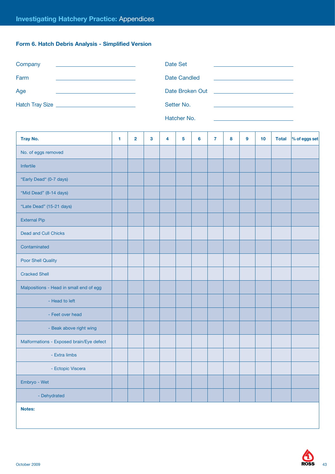## **Form 6. Hatch Debris Analysis - Simplified Version**

| Company                                                                         | Date Set                                                                        |
|---------------------------------------------------------------------------------|---------------------------------------------------------------------------------|
| Farm                                                                            | Date Candled                                                                    |
| the contract of the contract of the contract of the contract of the contract of | the contract of the contract of the contract of the contract of the contract of |
| Age                                                                             | Date Broken Out                                                                 |
|                                                                                 |                                                                                 |
|                                                                                 | Setter No.                                                                      |

Hatcher No.

| Tray No.                                 | 1 | $\overline{\mathbf{2}}$ | $\mathbf{3}$ | 4 | 5 | 6 | $\overline{7}$ | 8 | 9 | 10 | <b>Total</b> | % of eggs set |
|------------------------------------------|---|-------------------------|--------------|---|---|---|----------------|---|---|----|--------------|---------------|
| No. of eggs removed                      |   |                         |              |   |   |   |                |   |   |    |              |               |
| Infertile                                |   |                         |              |   |   |   |                |   |   |    |              |               |
| "Early Dead" (0-7 days)                  |   |                         |              |   |   |   |                |   |   |    |              |               |
| "Mid Dead" (8-14 days)                   |   |                         |              |   |   |   |                |   |   |    |              |               |
| "Late Dead" (15-21 days)                 |   |                         |              |   |   |   |                |   |   |    |              |               |
| <b>External Pip</b>                      |   |                         |              |   |   |   |                |   |   |    |              |               |
| Dead and Cull Chicks                     |   |                         |              |   |   |   |                |   |   |    |              |               |
| Contaminated                             |   |                         |              |   |   |   |                |   |   |    |              |               |
| <b>Poor Shell Quality</b>                |   |                         |              |   |   |   |                |   |   |    |              |               |
| <b>Cracked Shell</b>                     |   |                         |              |   |   |   |                |   |   |    |              |               |
| Malpositions - Head in small end of egg  |   |                         |              |   |   |   |                |   |   |    |              |               |
| - Head to left                           |   |                         |              |   |   |   |                |   |   |    |              |               |
| - Feet over head                         |   |                         |              |   |   |   |                |   |   |    |              |               |
| - Beak above right wing                  |   |                         |              |   |   |   |                |   |   |    |              |               |
| Malformations - Exposed brain/Eye defect |   |                         |              |   |   |   |                |   |   |    |              |               |
| - Extra limbs                            |   |                         |              |   |   |   |                |   |   |    |              |               |
| - Ectopic Viscera                        |   |                         |              |   |   |   |                |   |   |    |              |               |
| Embryo - Wet                             |   |                         |              |   |   |   |                |   |   |    |              |               |
| - Dehydrated                             |   |                         |              |   |   |   |                |   |   |    |              |               |
| Notes:                                   |   |                         |              |   |   |   |                |   |   |    |              |               |

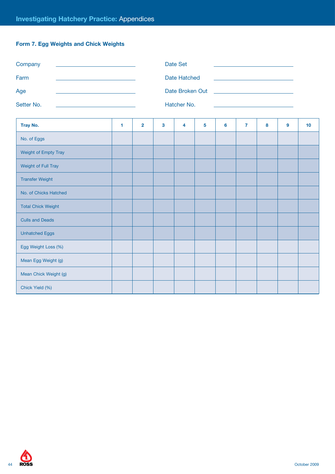## **Form 7. Egg Weights and Chick Weights**

| Company                   |   |                |   | <b>Date Set</b>     |   |                                                       |                |   |   |    |
|---------------------------|---|----------------|---|---------------------|---|-------------------------------------------------------|----------------|---|---|----|
| Farm                      |   |                |   | <b>Date Hatched</b> |   |                                                       |                |   |   |    |
| Age                       |   |                |   | Date Broken Out     |   | <u> 1980 - Jan Stein Berlin, Amerikaansk kanton (</u> |                |   |   |    |
| Setter No.                |   |                |   | Hatcher No.         |   |                                                       |                |   |   |    |
| Tray No.                  | 1 | $\overline{2}$ | 3 | 4                   | 5 | 6                                                     | $\overline{7}$ | 8 | 9 | 10 |
| No. of Eggs               |   |                |   |                     |   |                                                       |                |   |   |    |
| Weight of Empty Tray      |   |                |   |                     |   |                                                       |                |   |   |    |
| Weight of Full Tray       |   |                |   |                     |   |                                                       |                |   |   |    |
| <b>Transfer Weight</b>    |   |                |   |                     |   |                                                       |                |   |   |    |
| No. of Chicks Hatched     |   |                |   |                     |   |                                                       |                |   |   |    |
| <b>Total Chick Weight</b> |   |                |   |                     |   |                                                       |                |   |   |    |
| <b>Culls and Deads</b>    |   |                |   |                     |   |                                                       |                |   |   |    |
| <b>Unhatched Eggs</b>     |   |                |   |                     |   |                                                       |                |   |   |    |
| Egg Weight Loss (%)       |   |                |   |                     |   |                                                       |                |   |   |    |
| Mean Egg Weight (g)       |   |                |   |                     |   |                                                       |                |   |   |    |
| Mean Chick Weight (g)     |   |                |   |                     |   |                                                       |                |   |   |    |
| Chick Yield (%)           |   |                |   |                     |   |                                                       |                |   |   |    |

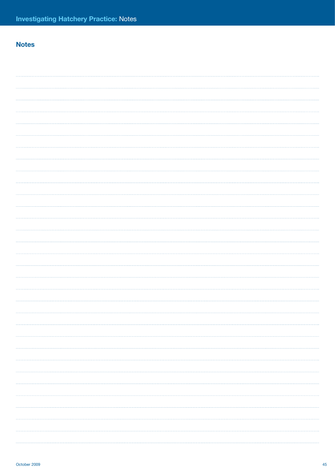## **Notes**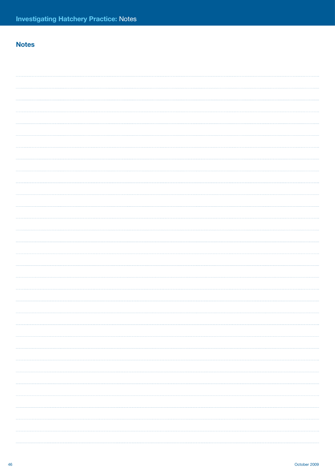## **Notes**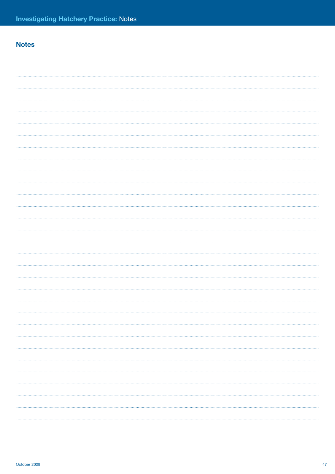## **Notes**